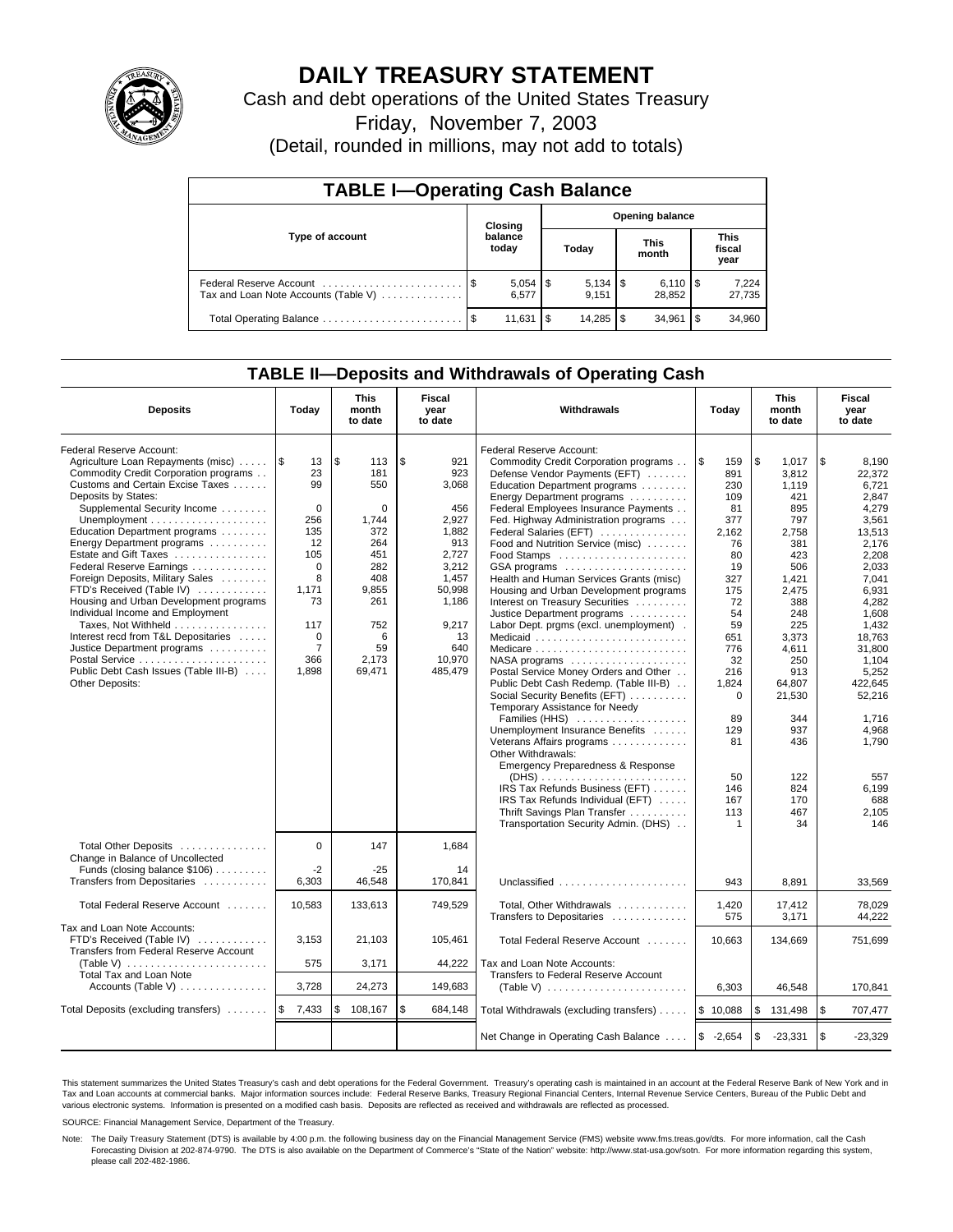

# **DAILY TREASURY STATEMENT**

Cash and debt operations of the United States Treasury

Friday, November 7, 2003

(Detail, rounded in millions, may not add to totals)

| <b>TABLE I-Operating Cash Balance</b>                           |  |                  |       |                        |                      |                              |                               |                 |  |  |
|-----------------------------------------------------------------|--|------------------|-------|------------------------|----------------------|------------------------------|-------------------------------|-----------------|--|--|
|                                                                 |  | Closing          |       | <b>Opening balance</b> |                      |                              |                               |                 |  |  |
| Type of account                                                 |  | balance<br>today | Today |                        | <b>This</b><br>month |                              | <b>This</b><br>fiscal<br>year |                 |  |  |
| Federal Reserve Account<br>Tax and Loan Note Accounts (Table V) |  | 6.577            |       | 9.151                  |                      | $6,110$ $\sqrt{5}$<br>28.852 |                               | 7,224<br>27,735 |  |  |
| Total Operating Balance                                         |  | 11,631           | \$    | 14.285                 | - \$                 | 34.961                       | l \$                          | 34,960          |  |  |

## **TABLE II—Deposits and Withdrawals of Operating Cash**

| <b>Deposits</b>                                                                                                                                                                                                                                                                                                                                                                                                                                                                                                                                                                                                                | Today                                                                                                                                                   | This<br>month<br>to date                                                                                                             | Fiscal<br>Withdrawals<br>Today<br>year<br>to date                                                                                                  |                                                                                                                                                                                                                                                                                                                                                                                                                                                                                                                                                                                                                                                                                                                                                                                                                                                                                                                                                                                                                                          | <b>This</b><br>month<br>to date                                                                                                                                                                                       | Fiscal<br>year<br>to date                                                                                                                                                                                                          |                                                                                                                                                                                                                                                                          |
|--------------------------------------------------------------------------------------------------------------------------------------------------------------------------------------------------------------------------------------------------------------------------------------------------------------------------------------------------------------------------------------------------------------------------------------------------------------------------------------------------------------------------------------------------------------------------------------------------------------------------------|---------------------------------------------------------------------------------------------------------------------------------------------------------|--------------------------------------------------------------------------------------------------------------------------------------|----------------------------------------------------------------------------------------------------------------------------------------------------|------------------------------------------------------------------------------------------------------------------------------------------------------------------------------------------------------------------------------------------------------------------------------------------------------------------------------------------------------------------------------------------------------------------------------------------------------------------------------------------------------------------------------------------------------------------------------------------------------------------------------------------------------------------------------------------------------------------------------------------------------------------------------------------------------------------------------------------------------------------------------------------------------------------------------------------------------------------------------------------------------------------------------------------|-----------------------------------------------------------------------------------------------------------------------------------------------------------------------------------------------------------------------|------------------------------------------------------------------------------------------------------------------------------------------------------------------------------------------------------------------------------------|--------------------------------------------------------------------------------------------------------------------------------------------------------------------------------------------------------------------------------------------------------------------------|
| Federal Reserve Account:<br>Agriculture Loan Repayments (misc)<br>Commodity Credit Corporation programs<br>Customs and Certain Excise Taxes<br>Deposits by States:<br>Supplemental Security Income<br>Education Department programs<br>Energy Department programs<br>Estate and Gift Taxes<br>Federal Reserve Earnings<br>Foreign Deposits, Military Sales<br>FTD's Received (Table IV)<br>Housing and Urban Development programs<br>Individual Income and Employment<br>Taxes, Not Withheld<br>Interest recd from T&L Depositaries<br>Justice Department programs<br>Public Debt Cash Issues (Table III-B)<br>Other Deposits: | 1\$<br>13<br>23<br>99<br>$\Omega$<br>256<br>135<br>12<br>105<br>$\mathbf 0$<br>8<br>1.171<br>73<br>117<br>$\mathbf 0$<br>$\overline{7}$<br>366<br>1,898 | \$<br>113<br>181<br>550<br>$\Omega$<br>1,744<br>372<br>264<br>451<br>282<br>408<br>9.855<br>261<br>752<br>6<br>59<br>2,173<br>69,471 | \$<br>921<br>923<br>3,068<br>456<br>2,927<br>1,882<br>913<br>2,727<br>3,212<br>1,457<br>50.998<br>1,186<br>9,217<br>13<br>640<br>10,970<br>485,479 | Federal Reserve Account:<br>Commodity Credit Corporation programs<br>Defense Vendor Payments (EFT)<br>Education Department programs<br>Energy Department programs<br>Federal Employees Insurance Payments<br>Fed. Highway Administration programs<br>Federal Salaries (EFT)<br>Food and Nutrition Service (misc)<br>GSA programs<br>Health and Human Services Grants (misc)<br>Housing and Urban Development programs<br>Interest on Treasury Securities<br>Justice Department programs<br>Labor Dept. prgms (excl. unemployment).<br>Medicaid<br>Medicare<br>NASA programs<br>Postal Service Money Orders and Other<br>Public Debt Cash Redemp. (Table III-B)<br>Social Security Benefits (EFT)<br>Temporary Assistance for Needy<br>Families (HHS)<br>Unemployment Insurance Benefits<br>Veterans Affairs programs<br>Other Withdrawals:<br>Emergency Preparedness & Response<br>$(DHS)$<br>IRS Tax Refunds Business (EFT)<br>IRS Tax Refunds Individual (EFT)<br>Thrift Savings Plan Transfer<br>Transportation Security Admin. (DHS) | 1\$<br>159<br>891<br>230<br>109<br>81<br>377<br>2,162<br>76<br>80<br>19<br>327<br>175<br>72<br>54<br>59<br>651<br>776<br>32<br>216<br>1,824<br>$\Omega$<br>89<br>129<br>81<br>50<br>146<br>167<br>113<br>$\mathbf{1}$ | \$<br>1,017<br>3,812<br>1.119<br>421<br>895<br>797<br>2,758<br>381<br>423<br>506<br>1,421<br>2.475<br>388<br>248<br>225<br>3,373<br>4,611<br>250<br>913<br>64.807<br>21,530<br>344<br>937<br>436<br>122<br>824<br>170<br>467<br>34 | \$<br>8,190<br>22,372<br>6.721<br>2.847<br>4,279<br>3,561<br>13,513<br>2.176<br>2,208<br>2,033<br>7.041<br>6.931<br>4,282<br>1,608<br>1.432<br>18,763<br>31,800<br>1,104<br>5.252<br>422.645<br>52,216<br>1,716<br>4,968<br>1,790<br>557<br>6,199<br>688<br>2,105<br>146 |
| Total Other Deposits<br>Change in Balance of Uncollected<br>Funds (closing balance $$106$ )<br>Transfers from Depositaries                                                                                                                                                                                                                                                                                                                                                                                                                                                                                                     | $\Omega$<br>$-2$<br>6,303                                                                                                                               | 147<br>$-25$<br>46,548                                                                                                               | 1,684<br>14<br>170.841                                                                                                                             | Unclassified                                                                                                                                                                                                                                                                                                                                                                                                                                                                                                                                                                                                                                                                                                                                                                                                                                                                                                                                                                                                                             | 943                                                                                                                                                                                                                   | 8.891                                                                                                                                                                                                                              | 33,569                                                                                                                                                                                                                                                                   |
| Total Federal Reserve Account                                                                                                                                                                                                                                                                                                                                                                                                                                                                                                                                                                                                  | 10,583                                                                                                                                                  | 133,613                                                                                                                              | 749,529                                                                                                                                            | Total, Other Withdrawals<br>Transfers to Depositaries                                                                                                                                                                                                                                                                                                                                                                                                                                                                                                                                                                                                                                                                                                                                                                                                                                                                                                                                                                                    | 1,420<br>575                                                                                                                                                                                                          | 17,412<br>3,171                                                                                                                                                                                                                    | 78,029<br>44,222                                                                                                                                                                                                                                                         |
| Tax and Loan Note Accounts:<br>FTD's Received (Table IV)<br>Transfers from Federal Reserve Account<br>(Table V) $\ldots \ldots \ldots \ldots \ldots \ldots$                                                                                                                                                                                                                                                                                                                                                                                                                                                                    | 3,153<br>575                                                                                                                                            | 21,103<br>3,171                                                                                                                      | 105,461<br>44,222                                                                                                                                  | Total Federal Reserve Account<br>Tax and Loan Note Accounts:                                                                                                                                                                                                                                                                                                                                                                                                                                                                                                                                                                                                                                                                                                                                                                                                                                                                                                                                                                             | 10.663                                                                                                                                                                                                                | 134,669                                                                                                                                                                                                                            | 751.699                                                                                                                                                                                                                                                                  |
| <b>Total Tax and Loan Note</b><br>Accounts (Table V) $\dots \dots \dots \dots$                                                                                                                                                                                                                                                                                                                                                                                                                                                                                                                                                 | 3,728                                                                                                                                                   | 24,273                                                                                                                               | 149,683                                                                                                                                            | Transfers to Federal Reserve Account<br>(Table V) $\ldots \ldots \ldots \ldots \ldots \ldots \ldots$                                                                                                                                                                                                                                                                                                                                                                                                                                                                                                                                                                                                                                                                                                                                                                                                                                                                                                                                     | 6,303                                                                                                                                                                                                                 | 46,548                                                                                                                                                                                                                             | 170,841                                                                                                                                                                                                                                                                  |
| Total Deposits (excluding transfers)                                                                                                                                                                                                                                                                                                                                                                                                                                                                                                                                                                                           | l \$<br>7,433                                                                                                                                           | \$<br>108,167                                                                                                                        | \$<br>684,148                                                                                                                                      | Total Withdrawals (excluding transfers)                                                                                                                                                                                                                                                                                                                                                                                                                                                                                                                                                                                                                                                                                                                                                                                                                                                                                                                                                                                                  | \$10,088                                                                                                                                                                                                              | \$<br>131,498                                                                                                                                                                                                                      | <b>S</b><br>707,477                                                                                                                                                                                                                                                      |
|                                                                                                                                                                                                                                                                                                                                                                                                                                                                                                                                                                                                                                |                                                                                                                                                         |                                                                                                                                      |                                                                                                                                                    | Net Change in Operating Cash Balance                                                                                                                                                                                                                                                                                                                                                                                                                                                                                                                                                                                                                                                                                                                                                                                                                                                                                                                                                                                                     | $$ -2,654$                                                                                                                                                                                                            | \$<br>$-23,331$                                                                                                                                                                                                                    | $\sqrt{3}$<br>$-23,329$                                                                                                                                                                                                                                                  |

This statement summarizes the United States Treasury's cash and debt operations for the Federal Government. Treasury's operating cash is maintained in an account at the Federal Reserve Bank of New York and in Tax and Loan accounts at commercial banks. Major information sources include: Federal Reserve Banks, Treasury Regional Financial Centers, Internal Revenue Service Centers, Bureau of the Public Debt and<br>various electronic s

SOURCE: Financial Management Service, Department of the Treasury.

Note: The Daily Treasury Statement (DTS) is available by 4:00 p.m. the following business day on the Financial Management Service (FMS) website www.fms.treas.gov/dts. For more information, call the Cash Forecasting Division at 202-874-9790. The DTS is also available on the Department of Commerce's "State of the Nation" website: http://www.stat-usa.gov/sotn. For more information regarding this system, please call 202-482-1986.